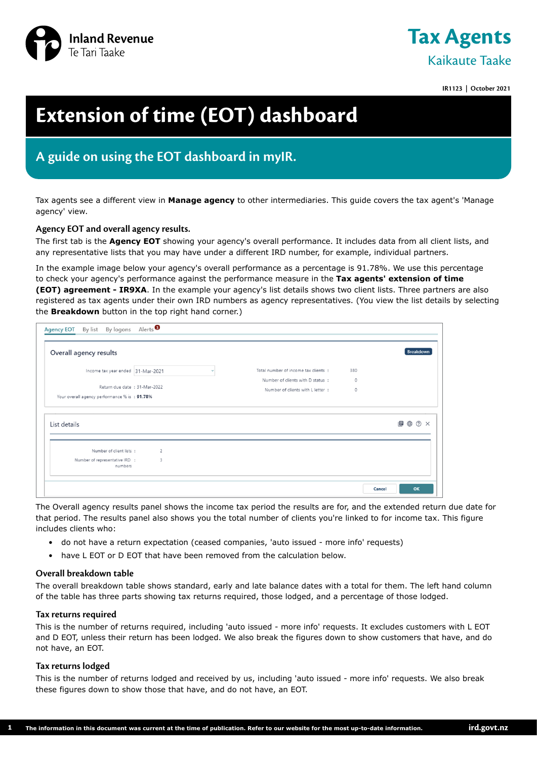



**IR1123 | October 2021**

# **Extension of time (EOT) dashboard**

# **A guide on using the EOT dashboard in myIR.**

Tax agents see a different view in **Manage agency** to other intermediaries. This guide covers the tax agent's 'Manage agency' view.

# **Agency EOT and overall agency results.**

The first tab is the **Agency EOT** showing your agency's overall performance. It includes data from all client lists, and any representative lists that you may have under a different IRD number, for example, individual partners.

In the example image below your agency's overall performance as a percentage is 91.78%. We use this percentage to check your agency's performance against the performance measure in the **Tax agents' extension of time (EOT) agreement - IR9XA**. In the example your agency's list details shows two client lists. Three partners are also registered as tax agents under their own IRD numbers as agency representatives. (You view the list details by selecting the **Breakdown** button in the top right hand corner.)

| Overall agency results                        |                         |              |                                      |         | <b>Breakdown</b>                   |
|-----------------------------------------------|-------------------------|--------------|--------------------------------------|---------|------------------------------------|
| Income tax year ended 31-Mar-2021             |                         | $\checkmark$ | Total number of income tax clients : | 380     |                                    |
|                                               |                         |              | Number of clients with D status:     | $\circ$ |                                    |
| Return due date : 31-Mar-2022                 |                         |              | Number of clients with L letter :    | $\circ$ |                                    |
| Your overall agency performance % is : 91.78% |                         |              |                                      |         |                                    |
|                                               |                         |              |                                      |         |                                    |
| List details<br>Number of client lists:       | $\overline{c}$          |              |                                      |         | $\blacksquare \oplus \odot \times$ |
| Number of representative IRD :<br>numbers     | $\overline{\mathbf{3}}$ |              |                                      |         |                                    |

The Overall agency results panel shows the income tax period the results are for, and the extended return due date for that period. The results panel also shows you the total number of clients you're linked to for income tax. This figure includes clients who:

- do not have a return expectation (ceased companies, 'auto issued more info' requests)
- have L EOT or D EOT that have been removed from the calculation below.

## **Overall breakdown table**

The overall breakdown table shows standard, early and late balance dates with a total for them. The left hand column of the table has three parts showing tax returns required, those lodged, and a percentage of those lodged.

#### **Tax returns required**

This is the number of returns required, including 'auto issued - more info' requests. It excludes customers with L EOT and D EOT, unless their return has been lodged. We also break the figures down to show customers that have, and do not have, an EOT.

#### **Tax returns lodged**

**1**

This is the number of returns lodged and received by us, including 'auto issued - more info' requests. We also break these figures down to show those that have, and do not have, an EOT.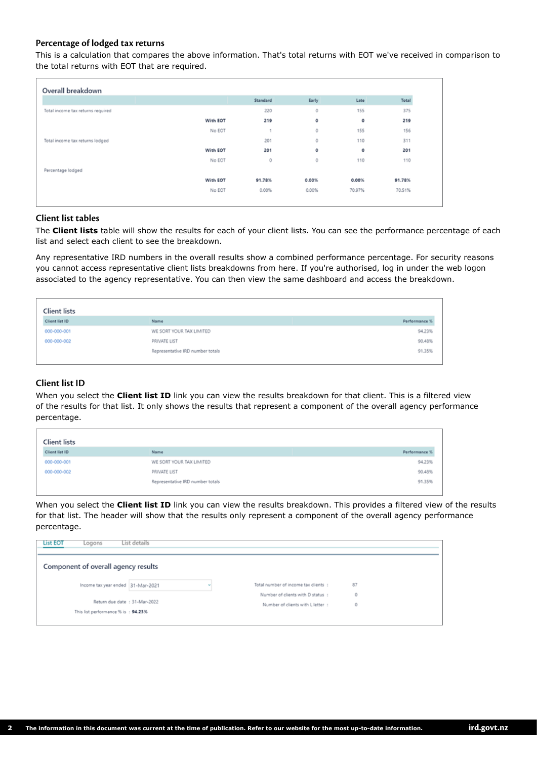# **Percentage of lodged tax returns**

This is a calculation that compares the above information. That's total returns with EOT we've received in comparison to the total returns with EOT that are required.

|                                   |          | Standard | Early | Late   | Total  |
|-----------------------------------|----------|----------|-------|--------|--------|
| Total income tax returns required |          | 220      | 0     | 155    | 375    |
|                                   | With EOT | 219      | ٥     | ٥      | 219    |
|                                   | No EOT   | 1        | Ō     | 155    | 156    |
| Total income tax returns lodged   |          | 201      | O     | 110    | 311    |
|                                   | With EOT | 201      | ٥     | ٥      | 201    |
|                                   | No EOT   | 0        | Ō     | 110    | 110    |
| Percentage lodged                 |          |          |       |        |        |
|                                   | With EOT | 91,78%   | 0.00% | 0.00%  | 91.78% |
|                                   | No EOT   | 0.00%    | 0.00% | 70.97% | 70.51% |

## **Client list tables**

The **Client lists** table will show the results for each of your client lists. You can see the performance percentage of each list and select each client to see the breakdown.

Any representative IRD numbers in the overall results show a combined performance percentage. For security reasons you cannot access representative client lists breakdowns from here. If you're authorised, log in under the web logon associated to the agency representative. You can then view the same dashboard and access the breakdown.

| <b>Client lists</b> |                                  |               |
|---------------------|----------------------------------|---------------|
| Client list ID      | Name                             | Performance % |
| 000-000-001         | WE SORT YOUR TAX LIMITED         | 94.23%        |
| 000-000-002         | PRIVATE LIST                     | 90.48%        |
|                     | Representative IRD number totals | 91.35%        |
|                     |                                  |               |

# **Client list ID**

When you select the **Client list ID** link you can view the results breakdown for that client. This is a filtered view of the results for that list. It only shows the results that represent a component of the overall agency performance percentage.

| <b>Client lists</b> |                                  |               |
|---------------------|----------------------------------|---------------|
| Client list ID      | Name                             | Performance % |
| 000-000-001         | WE SORT YOUR TAX LIMITED         | 94.23%        |
| 000-000-002         | PRIVATE LIST                     | 90.48%        |
|                     | Representative IRD number totals | 91.35%        |
|                     |                                  |               |

When you select the **Client list ID** link you can view the results breakdown. This provides a filtered view of the results for that list. The header will show that the results only represent a component of the overall agency performance percentage.

| <b>List EOT</b><br>Logons           | List details |                                      |    |  |
|-------------------------------------|--------------|--------------------------------------|----|--|
| Component of overall agency results |              |                                      |    |  |
| Income tax year ended 31-Mar-2021   |              | Total number of income tax clients : | 87 |  |
|                                     |              | Number of clients with D status :    | 0  |  |
| Return due date : 31-Mar-2022       |              | Number of clients with L letter :    | 0  |  |
| This list performance % is: 94.23%  |              |                                      |    |  |